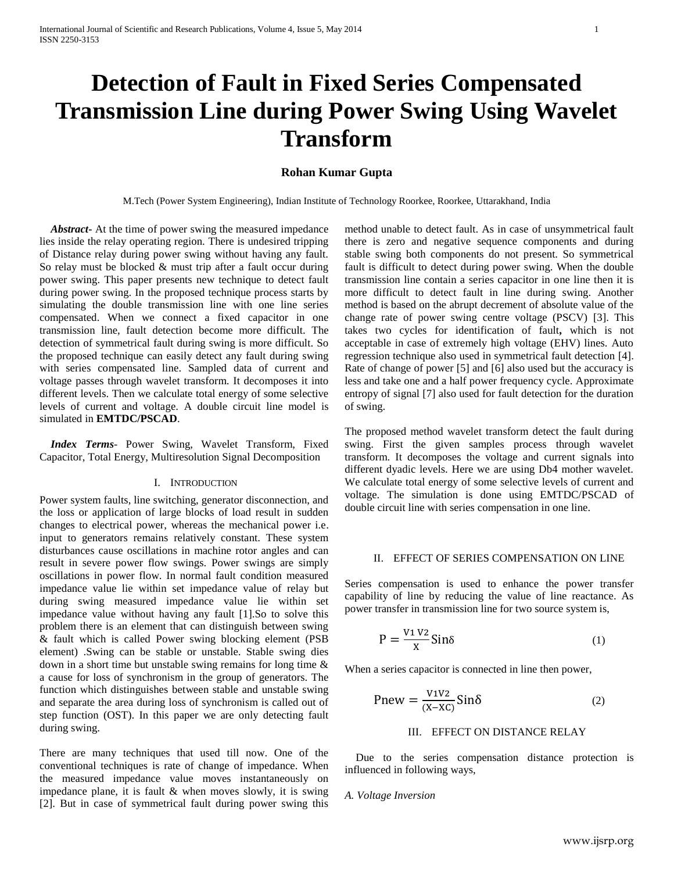# **Detection of Fault in Fixed Series Compensated Transmission Line during Power Swing Using Wavelet Transform**

# **Rohan Kumar Gupta**

M.Tech (Power System Engineering), Indian Institute of Technology Roorkee, Roorkee, Uttarakhand, India

 *Abstract***-** At the time of power swing the measured impedance lies inside the relay operating region. There is undesired tripping of Distance relay during power swing without having any fault. So relay must be blocked & must trip after a fault occur during power swing. This paper presents new technique to detect fault during power swing. In the proposed technique process starts by simulating the double transmission line with one line series compensated. When we connect a fixed capacitor in one transmission line, fault detection become more difficult. The detection of symmetrical fault during swing is more difficult. So the proposed technique can easily detect any fault during swing with series compensated line. Sampled data of current and voltage passes through wavelet transform. It decomposes it into different levels. Then we calculate total energy of some selective levels of current and voltage. A double circuit line model is simulated in **EMTDC/PSCAD**.

 *Index Terms*- Power Swing, Wavelet Transform, Fixed Capacitor, Total Energy, Multiresolution Signal Decomposition

## I. INTRODUCTION

Power system faults, line switching, generator disconnection, and the loss or application of large blocks of load result in sudden changes to electrical power, whereas the mechanical power i.e. input to generators remains relatively constant. These system disturbances cause oscillations in machine rotor angles and can result in severe power flow swings. Power swings are simply oscillations in power flow. In normal fault condition measured impedance value lie within set impedance value of relay but during swing measured impedance value lie within set impedance value without having any fault [1].So to solve this problem there is an element that can distinguish between swing & fault which is called Power swing blocking element (PSB element) .Swing can be stable or unstable. Stable swing dies down in a short time but unstable swing remains for long time & a cause for loss of synchronism in the group of generators. The function which distinguishes between stable and unstable swing and separate the area during loss of synchronism is called out of step function (OST). In this paper we are only detecting fault during swing.

There are many techniques that used till now. One of the conventional techniques is rate of change of impedance. When the measured impedance value moves instantaneously on impedance plane, it is fault & when moves slowly, it is swing [2]. But in case of symmetrical fault during power swing this method unable to detect fault. As in case of unsymmetrical fault there is zero and negative sequence components and during stable swing both components do not present. So symmetrical fault is difficult to detect during power swing. When the double transmission line contain a series capacitor in one line then it is more difficult to detect fault in line during swing. Another method is based on the abrupt decrement of absolute value of the change rate of power swing centre voltage (PSCV) [3]. This takes two cycles for identification of fault**,** which is not acceptable in case of extremely high voltage (EHV) lines. Auto regression technique also used in symmetrical fault detection [4]. Rate of change of power [5] and [6] also used but the accuracy is less and take one and a half power frequency cycle. Approximate entropy of signal [7] also used for fault detection for the duration of swing.

The proposed method wavelet transform detect the fault during swing. First the given samples process through wavelet transform. It decomposes the voltage and current signals into different dyadic levels. Here we are using Db4 mother wavelet. We calculate total energy of some selective levels of current and voltage. The simulation is done using EMTDC/PSCAD of double circuit line with series compensation in one line.

## II. EFFECT OF SERIES COMPENSATION ON LINE

Series compensation is used to enhance the power transfer capability of line by reducing the value of line reactance. As power transfer in transmission line for two source system is,

$$
P = \frac{V_1 V_2}{X} \sin \delta \tag{1}
$$

When a series capacitor is connected in line then power,

$$
Pnew = \frac{V1V2}{(X - XC)} \sin \delta \tag{2}
$$

## III. EFFECT ON DISTANCE RELAY

 Due to the series compensation distance protection is influenced in following ways,

#### *A. Voltage Inversion*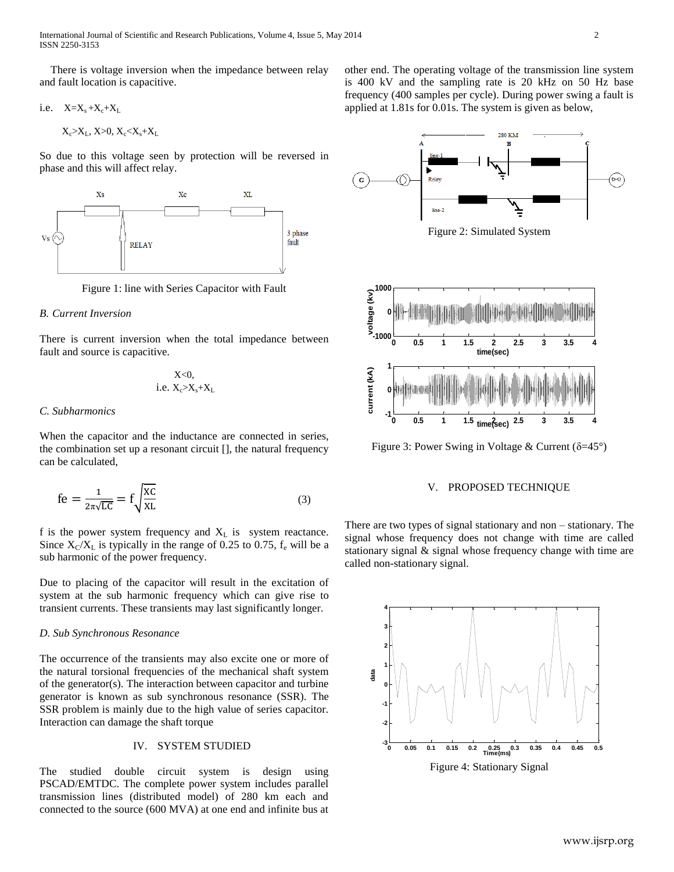International Journal of Scientific and Research Publications, Volume 4, Issue 5, May 2014 2 ISSN 2250-3153

 There is voltage inversion when the impedance between relay and fault location is capacitive.

i.e. 
$$
X = X_s + X_c + X_L
$$

 $X_c > X_L$ ,  $X > 0$ ,  $X_c < X_s + X_L$ 

So due to this voltage seen by protection will be reversed in phase and this will affect relay.



Figure 1: line with Series Capacitor with Fault

# *B. Current Inversion*

There is current inversion when the total impedance between fault and source is capacitive.

$$
X<0, \\ i.e.~X_c>X_s+X_L
$$

# *C. Subharmonics*

When the capacitor and the inductance are connected in series, the combination set up a resonant circuit [], the natural frequency can be calculated,

$$
fe = \frac{1}{2\pi\sqrt{LC}} = f\sqrt{\frac{XC}{XL}}
$$
 (3)

f is the power system frequency and  $X_L$  is system reactance. Since  $X_C/X_L$  is typically in the range of 0.25 to 0.75,  $f_e$  will be a sub harmonic of the power frequency.

Due to placing of the capacitor will result in the excitation of system at the sub harmonic frequency which can give rise to transient currents. These transients may last significantly longer.

### *D. Sub Synchronous Resonance*

The occurrence of the transients may also excite one or more of the natural torsional frequencies of the mechanical shaft system of the generator(s). The interaction between capacitor and turbine generator is known as sub synchronous resonance (SSR). The SSR problem is mainly due to the high value of series capacitor. Interaction can damage the shaft torque

# IV. SYSTEM STUDIED

The studied double circuit system is design using PSCAD/EMTDC. The complete power system includes parallel transmission lines (distributed model) of 280 km each and connected to the source (600 MVA) at one end and infinite bus at other end. The operating voltage of the transmission line system is 400 kV and the sampling rate is 20 kHz on 50 Hz base frequency (400 samples per cycle). During power swing a fault is applied at 1.81s for 0.01s. The system is given as below,



Figure 2: Simulated System



Figure 3: Power Swing in Voltage & Current ( $\delta = 45^{\circ}$ )

# V. PROPOSED TECHNIQUE

There are two types of signal stationary and non – stationary. The signal whose frequency does not change with time are called stationary signal & signal whose frequency change with time are called non-stationary signal.



Figure 4: Stationary Signal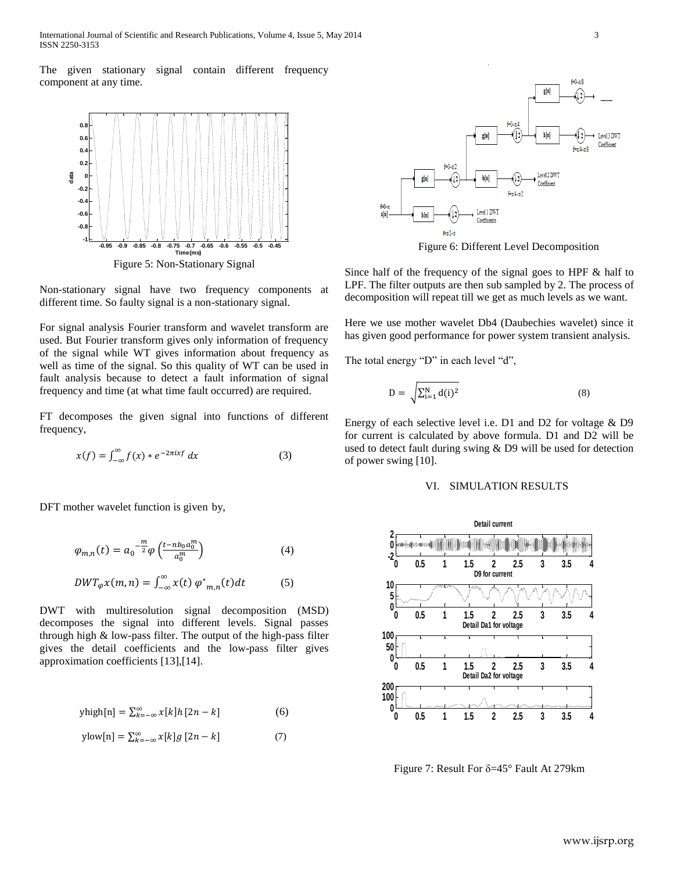International Journal of Scientific and Research Publications, Volume 4, Issue 5, May 2014 3 ISSN 2250-3153

The given stationary signal contain different frequency component at any time.



Non-stationary signal have two frequency components at different time. So faulty signal is a non-stationary signal.

For signal analysis Fourier transform and wavelet transform are used. But Fourier transform gives only information of frequency of the signal while WT gives information about frequency as well as time of the signal. So this quality of WT can be used in fault analysis because to detect a fault information of signal frequency and time (at what time fault occurred) are required.

FT decomposes the given signal into functions of different frequency,

$$
x(f) = \int_{-\infty}^{\infty} f(x) * e^{-2\pi ixf} dx
$$
 (3)

DFT mother wavelet function is given by,

$$
\varphi_{m,n}(t) = a_0^{-\frac{m}{2}} \varphi \left( \frac{t - nb_0 a_0^m}{a_0^m} \right) \tag{4}
$$

$$
DWT_{\varphi} x(m, n) = \int_{-\infty}^{\infty} x(t) \varphi^*_{m,n}(t) dt \tag{5}
$$

DWT with multiresolution signal decomposition (MSD) decomposes the signal into different levels. Signal passes through high & low-pass filter. The output of the high-pass filter gives the detail coefficients and the low-pass filter gives approximation coefficients [13],[14].

$$
yhigh[n] = \sum_{k=-\infty}^{\infty} x[k]h[2n-k]
$$
 (6)

$$
ylow[n] = \sum_{k=-\infty}^{\infty} x[k]g[2n-k]
$$
 (7)



Figure 6: Different Level Decomposition

Since half of the frequency of the signal goes to HPF & half to LPF. The filter outputs are then sub sampled by 2. The process of decomposition will repeat till we get as much levels as we want.

Here we use mother wavelet Db4 (Daubechies wavelet) since it has given good performance for power system transient analysis.

The total energy "D" in each level "d",

$$
D = \sqrt{\sum_{i=1}^{N} d(i)^2}
$$
 (8)

Energy of each selective level i.e. D1 and D2 for voltage & D9 for current is calculated by above formula. D1 and D2 will be used to detect fault during swing & D9 will be used for detection of power swing [10].

#### VI. SIMULATION RESULTS



Figure 7: Result For δ=45° Fault At 279km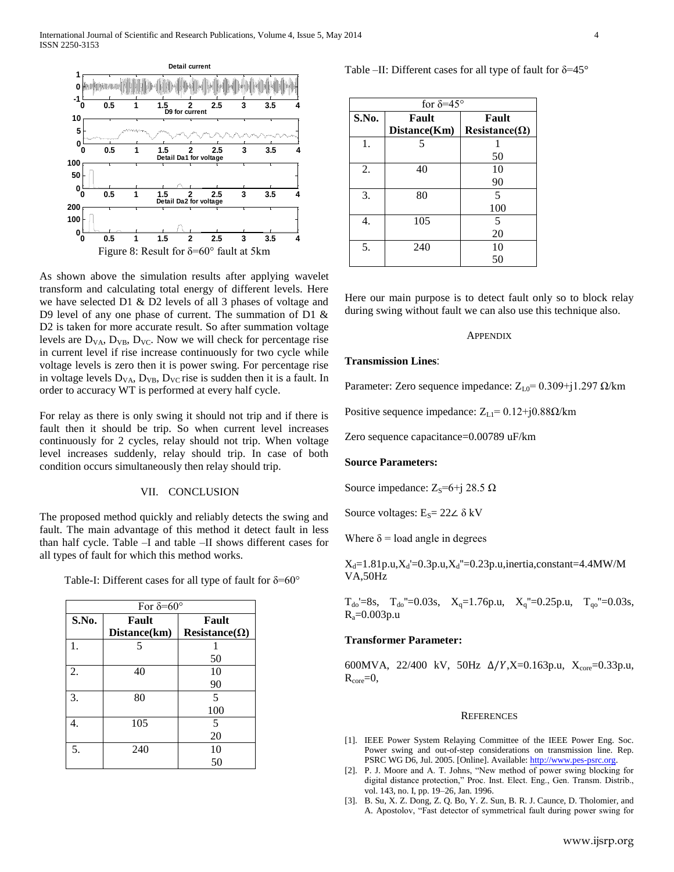International Journal of Scientific and Research Publications, Volume 4, Issue 5, May 2014 4 ISSN 2250-3153



As shown above the simulation results after applying wavelet transform and calculating total energy of different levels. Here we have selected D1 & D2 levels of all 3 phases of voltage and D9 level of any one phase of current. The summation of D1 & D2 is taken for more accurate result. So after summation voltage levels are  $D_{VA}$ ,  $D_{VB}$ ,  $D_{VC}$ . Now we will check for percentage rise in current level if rise increase continuously for two cycle while voltage levels is zero then it is power swing. For percentage rise in voltage levels  $D_{VA}$ ,  $D_{VB}$ ,  $D_{VC}$  rise is sudden then it is a fault. In order to accuracy WT is performed at every half cycle.

For relay as there is only swing it should not trip and if there is fault then it should be trip. So when current level increases continuously for 2 cycles, relay should not trip. When voltage level increases suddenly, relay should trip. In case of both condition occurs simultaneously then relay should trip.

# VII. CONCLUSION

The proposed method quickly and reliably detects the swing and fault. The main advantage of this method it detect fault in less than half cycle. Table –I and table –II shows different cases for all types of fault for which this method works.

Table-I: Different cases for all type of fault for  $\delta = 60^\circ$ 

| For $\delta = 60^\circ$ |              |                      |
|-------------------------|--------------|----------------------|
| S.No.                   | Fault        | Fault                |
|                         | Distance(km) | $Resistance(\Omega)$ |
| 1.                      | 5            |                      |
|                         |              | 50                   |
| 2.                      | 40           | 10                   |
|                         |              | 90                   |
| 3.                      | 80           | 5                    |
|                         |              | 100                  |
| 4.                      | 105          | 5                    |
|                         |              | 20                   |
| 5.                      | 240          | 10                   |
|                         |              | 50                   |

| Table –II: Different cases for all type of fault for $\delta$ =45° |  |
|--------------------------------------------------------------------|--|
|--------------------------------------------------------------------|--|

| for $\delta = 45^\circ$ |              |                      |  |
|-------------------------|--------------|----------------------|--|
| S.No.                   | Fault        | Fault                |  |
|                         | Distance(Km) | $Resistance(\Omega)$ |  |
| 1.                      | 5            |                      |  |
|                         |              | 50                   |  |
| 2.                      | 40           | 10                   |  |
|                         |              | 90                   |  |
| 3.                      | 80           | 5                    |  |
|                         |              | 100                  |  |
| 4.                      | 105          | 5                    |  |
|                         |              | 20                   |  |
| 5.                      | 240          | 10                   |  |
|                         |              | 50                   |  |

Here our main purpose is to detect fault only so to block relay during swing without fault we can also use this technique also.

#### APPENDIX

## **Transmission Lines**:

Parameter: Zero sequence impedance:  $Z_{L0}$ = 0.309+j1.297  $\Omega$ /km

Positive sequence impedance:  $Z_{L1}$ = 0.12+j0.88 $\Omega$ /km

Zero sequence capacitance=0.00789 uF/km

#### **Source Parameters:**

Source impedance:  $Z_s$ =6+j 28.5 Ω

Source voltages:  $E_s = 22\angle \delta$  kV

Where  $\delta$  = load angle in degrees

 $X_d = 1.81p.u, X_d' = 0.3p.u, X_d'' = 0.23p.u,$ inertia,constant=4.4MW/M VA,50Hz

 $T_{\text{do}} = 8s$ ,  $T_{\text{do}} = 0.03s$ ,  $X_q = 1.76p.u$ ,  $X_q = 0.25p.u$ ,  $T_{\text{qo}} = 0.03s$ ,  $R_a = 0.003p.u$ 

## **Transformer Parameter:**

600MVA, 22/400 kV, 50Hz  $\Delta/Y$ , X=0.163p.u, X<sub>core</sub>=0.33p.u,  $R_{core}=0$ ,

#### **REFERENCES**

- [1]. IEEE Power System Relaying Committee of the IEEE Power Eng. Soc. Power swing and out-of-step considerations on transmission line. Rep. PSRC WG D6, Jul. 2005. [Online]. Available[: http://www.pes-psrc.org.](http://www.pes-psrc.org/)
- [2]. P. J. Moore and A. T. Johns, "New method of power swing blocking for digital distance protection," Proc. Inst. Elect. Eng., Gen. Transm. Distrib., vol. 143, no. I, pp. 19–26, Jan. 1996.
- [3]. B. Su, X. Z. Dong, Z. Q. Bo, Y. Z. Sun, B. R. J. Caunce, D. Tholomier, and A. Apostolov, "Fast detector of symmetrical fault during power swing for